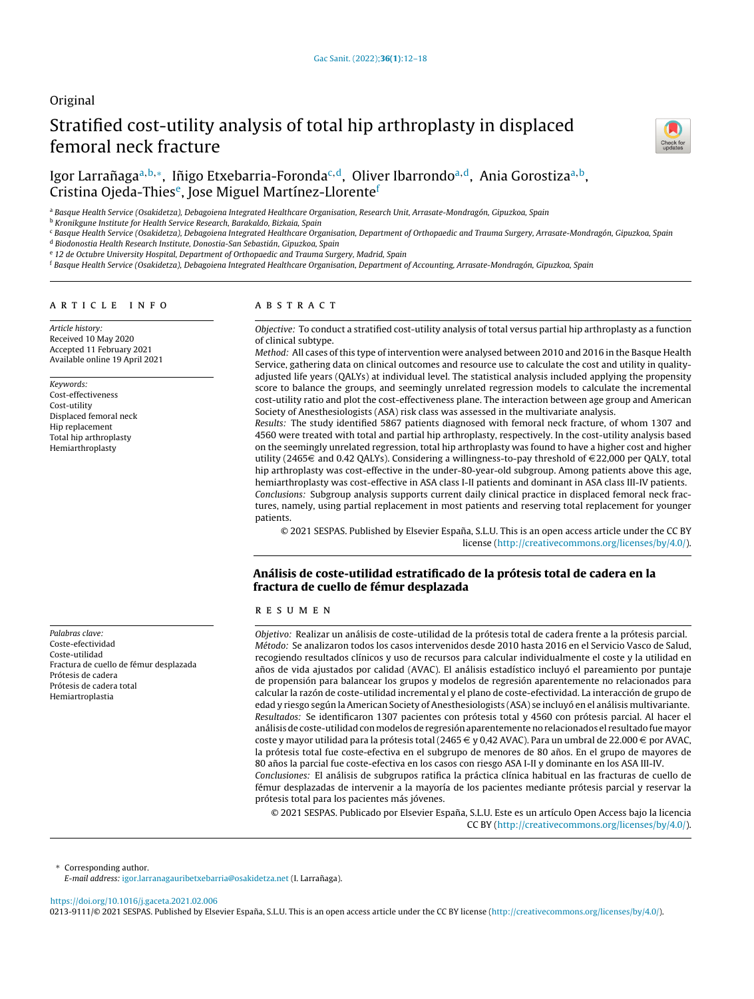## Original

# Stratified cost-utility analysis of total hip arthroplasty in displaced femoral neck fracture



## Igor Larrañaga<sup>a,b,</sup>\*, Iñigo Etxebarria-Foronda<sup>c,d</sup>, Oliver Ibarrondo<sup>a,d</sup>, Ania Gorostiza<sup>a,b</sup>, Cristina Ojeda-Thies<sup>e</sup>, Jose Miguel Martínez-Llorente<sup>f</sup>

a Basque Health Service (Osakidetza), Debagoiena Integrated Healthcare Organisation, Research Unit, Arrasate-Mondragón, Gipuzkoa, Spain

<sup>b</sup> Kronikgune Institute for Health Service Research, Barakaldo, Bizkaia, Spain

<sup>c</sup> Basque Health Service (Osakidetza), Debagoiena Integrated Healthcare Organisation, Department of Orthopaedic and Trauma Surgery, Arrasate-Mondragón, Gipuzkoa, Spain

<sup>d</sup> Biodonostia Health Research Institute, Donostia-San Sebastián, Gipuzkoa, Spain

<sup>e</sup> 12 de Octubre University Hospital, Department of Orthopaedic and Trauma Surgery, Madrid, Spain

<sup>f</sup> Basque Health Service (Osakidetza), Debagoiena Integrated Healthcare Organisation, Department of Accounting, Arrasate-Mondragón, Gipuzkoa, Spain

#### a r t i c l e i n f o

Article history: Received 10 May 2020 Accepted 11 February 2021 Available online 19 April 2021

#### Keywords:

Cost-effectiveness Cost-utility Displaced femoral neck Hip replacement Total hip arthroplasty Hemiarthroplasty

Palabras clave: Coste-efectividad Coste-utilidad Fractura de cuello de fémur desplazada Prótesis de cadera Prótesis de cadera total Hemiartroplastia

## A B S T R A C T

Objective: To conduct a stratified cost-utility analysis of total versus partial hip arthroplasty as a function of clinical subtype.

Method: All cases of this type of intervention were analysed between 2010 and 2016 in the Basque Health Service, gathering data on clinical outcomes and resource use to calculate the cost and utility in qualityadjusted life years (QALYs) at individual level. The statistical analysis included applying the propensity score to balance the groups, and seemingly unrelated regression models to calculate the incremental cost-utility ratio and plot the cost-effectiveness plane. The interaction between age group and American Society of Anesthesiologists (ASA) risk class was assessed in the multivariate analysis.

Results: The study identified 5867 patients diagnosed with femoral neck fracture, of whom 1307 and 4560 were treated with total and partial hip arthroplasty, respectively. In the cost-utility analysis based on the seemingly unrelated regression, total hip arthroplasty was found to have a higher cost and higher utility (2465 $\in$  and 0.42 QALYs). Considering a willingness-to-pay threshold of  $\in$  22,000 per QALY, total hip arthroplasty was cost-effective in the under-80-year-old subgroup. Among patients above this age, hemiarthroplasty was cost-effective in ASA class I-II patients and dominant in ASA class III-IV patients. Conclusions: Subgroup analysis supports current daily clinical practice in displaced femoral neck fractures, namely, using partial replacement in most patients and reserving total replacement for younger patients.

© 2021 SESPAS. Published by Elsevier España, S.L.U. This is an open access article under the CC BY license [\(http://creativecommons.org/licenses/by/4.0/](http://creativecommons.org/licenses/by/4.0/)).

## Análisis de coste-utilidad estratificado de la prótesis total de cadera en la fractura de cuello de fémur desplazada

## r e s u m e n

Objetivo: Realizar un análisis de coste-utilidad de la prótesis total de cadera frente a la prótesis parcial. Método: Se analizaron todos los casos intervenidos desde 2010 hasta 2016 en el Servicio Vasco de Salud, recogiendo resultados clínicos y uso de recursos para calcular individualmente el coste y la utilidad en años de vida ajustados por calidad (AVAC). El análisis estadístico incluyó el pareamiento por puntaje de propensión para balancear los grupos y modelos de regresión aparentemente no relacionados para calcular la razón de coste-utilidad incremental y el plano de coste-efectividad. La interacción de grupo de edad y riesgo según la American Society of Anesthesiologists (ASA) se incluyó en el análisis multivariante. Resultados: Se identificaron 1307 pacientes con prótesis total y 4560 con prótesis parcial. Al hacer el análisis de coste-utilidad con modelos de regresión aparentemente no relacionados el resultado fue mayor coste y mayor utilidad para la prótesis total (2465  $\in$  y 0,42 AVAC). Para un umbral de 22.000  $\in$  por AVAC, la prótesis total fue coste-efectiva en el subgrupo de menores de 80 años. En el grupo de mayores de 80 años la parcial fue coste-efectiva en los casos con riesgo ASA I-II y dominante en los ASA III-IV.

Conclusiones: El análisis de subgrupos ratifica la práctica clínica habitual en las fracturas de cuello de fémur desplazadas de intervenir a la mayoría de los pacientes mediante prótesis parcial y reservar la prótesis total para los pacientes más jóvenes.

© 2021 SESPAS. Publicado por Elsevier España, S.L.U. Este es un artículo Open Access bajo la licencia CC BY [\(http://creativecommons.org/licenses/by/4.0/](http://creativecommons.org/licenses/by/4.0/)).

∗ Corresponding author.

E-mail address: [igor.larranagauribetxebarria@osakidetza.net](mailto:igor.larranagauribetxebarria@osakidetza.net) (I. Larrañaga).

<https://doi.org/10.1016/j.gaceta.2021.02.006>

0213-9111/© 2021 SESPAS. Published by Elsevier España, S.L.U. This is an open access article under the CC BY license ([http://creativecommons.org/licenses/by/4.0/\)](http://creativecommons.org/licenses/by/4.0/).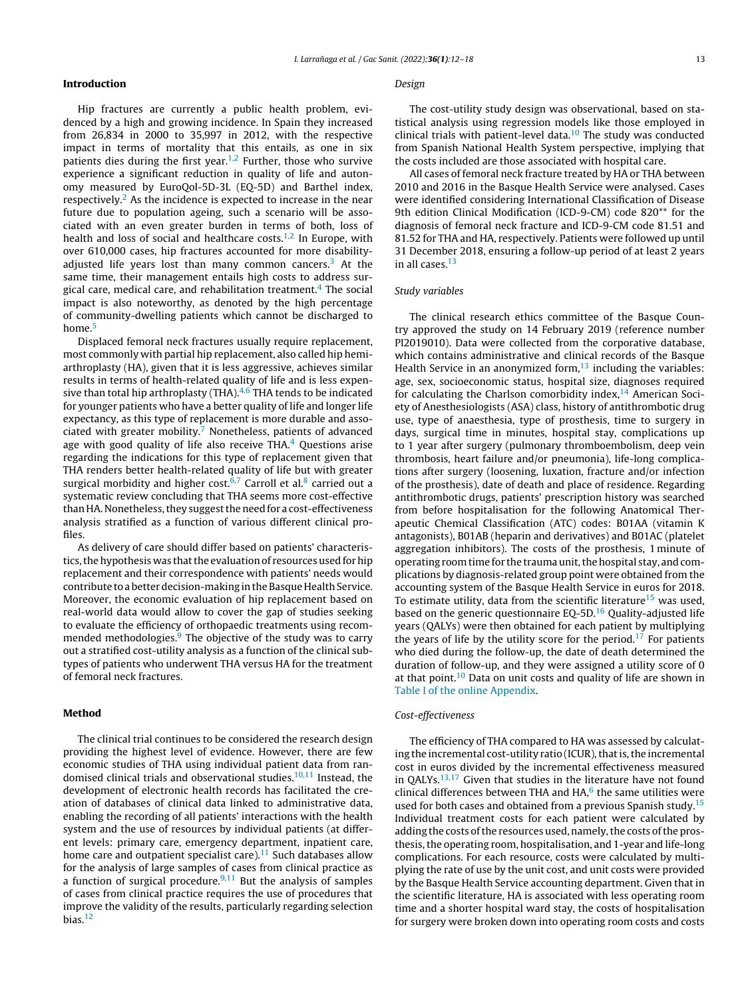## Introduction

Hip fractures are currently a public health problem, evidenced by a high and growing incidence. In Spain they increased from 26,834 in 2000 to 35,997 in 2012, with the respective impact in terms of mortality that this entails, as one in six patients dies during the first year. $1,2$  Further, those who survive experience a significant reduction in quality of life and autonomy measured by EuroQol-5D-3L (EQ-5D) and Barthel index, respectively.<sup>[2](#page-6-0)</sup> As the incidence is expected to increase in the near future due to population ageing, such a scenario will be associated with an even greater burden in terms of both, loss of health and loss of social and healthcare costs. $1,2$  In Europe, with over 610,000 cases, hip fractures accounted for more disability-adjusted life years lost than many common cancers.<sup>[3](#page-6-0)</sup> At the same time, their management entails high costs to address surgical care, medical care, and rehabilitation treatment. $4$  The social impact is also noteworthy, as denoted by the high percentage of community-dwelling patients which cannot be discharged to home.<sup>[5](#page-6-0)</sup>

Displaced femoral neck fractures usually require replacement, most commonly with partial hip replacement, also called hip hemiarthroplasty (HA), given that it is less aggressive, achieves similar results in terms of health-related quality of life and is less expensive than total hip arthroplasty (THA). $4,6$  THA tends to be indicated for younger patients who have a better quality of life and longer life expectancy, as this type of replacement is more durable and associated with greater mobility. $7$  Nonetheless, patients of advanced age with good quality of life also receive THA $<sup>4</sup>$  $<sup>4</sup>$  $<sup>4</sup>$  Questions arise</sup> regarding the indications for this type of replacement given that THA renders better health-related quality of life but with greater surgical morbidity and higher cost.<sup>[6,7](#page-6-0)</sup> Carroll et al.<sup>[8](#page-6-0)</sup> carried out a systematic review concluding that THA seems more cost-effective than HA. Nonetheless, they suggest the need for a cost-effectiveness analysis stratified as a function of various different clinical profiles.

As delivery of care should differ based on patients' characteristics, the hypothesis was that the evaluation of resources used for hip replacement and their correspondence with patients' needs would contribute to a better decision-making in the Basque Health Service. Moreover, the economic evaluation of hip replacement based on real-world data would allow to cover the gap of studies seeking to evaluate the efficiency of orthopaedic treatments using recommended methodologies. $9$  The objective of the study was to carry out a stratified cost-utility analysis as a function of the clinical subtypes of patients who underwent THA versus HA for the treatment of femoral neck fractures.

## Method

The clinical trial continues to be considered the research design providing the highest level of evidence. However, there are few economic studies of THA using individual patient data from ran-domised clinical trials and observational studies.<sup>[10,11](#page-6-0)</sup> Instead, the development of electronic health records has facilitated the creation of databases of clinical data linked to administrative data, enabling the recording of all patients' interactions with the health system and the use of resources by individual patients (at different levels: primary care, emergency department, inpatient care, home care and outpatient specialist care). $11$  Such databases allow for the analysis of large samples of cases from clinical practice as a function of surgical procedure. $9,11$  But the analysis of samples of cases from clinical practice requires the use of procedures that improve the validity of the results, particularly regarding selection bias.[12](#page-6-0)

#### Design

The cost-utility study design was observational, based on statistical analysis using regression models like those employed in clinical trials with patient-level data. $10$  The study was conducted from Spanish National Health System perspective, implying that the costs included are those associated with hospital care.

All cases of femoral neck fracture treated by HA or THA between 2010 and 2016 in the Basque Health Service were analysed. Cases were identified considering International Classification of Disease 9th edition Clinical Modification (ICD-9-CM) code 820<sup>\*\*</sup> for the diagnosis of femoral neck fracture and ICD-9-CM code 81.51 and 81.52 for THA and HA, respectively. Patients were followed up until 31 December 2018, ensuring a follow-up period of at least 2 years in all cases.<sup>[13](#page-6-0)</sup>

#### Study variables

The clinical research ethics committee of the Basque Country approved the study on 14 February 2019 (reference number PI2019010). Data were collected from the corporative database, which contains administrative and clinical records of the Basque Health Service in an anonymized form, $13$  including the variables: age, sex, socioeconomic status, hospital size, diagnoses required for calculating the Charlson comorbidity index, $14$  American Society of Anesthesiologists (ASA) class, history of antithrombotic drug use, type of anaesthesia, type of prosthesis, time to surgery in days, surgical time in minutes, hospital stay, complications up to 1 year after surgery (pulmonary thromboembolism, deep vein thrombosis, heart failure and/or pneumonia), life-long complications after surgery (loosening, luxation, fracture and/or infection of the prosthesis), date of death and place of residence. Regarding antithrombotic drugs, patients' prescription history was searched from before hospitalisation for the following Anatomical Therapeutic Chemical Classification (ATC) codes: B01AA (vitamin K antagonists), B01AB (heparin and derivatives) and B01AC (platelet aggregation inhibitors). The costs of the prosthesis, 1 minute of operating room time for the trauma unit, the hospital stay, and complications by diagnosis-related group point were obtained from the accounting system of the Basque Health Service in euros for 2018. To estimate utility, data from the scientific literature<sup>[15](#page-6-0)</sup> was used, based on the generic questionnaire EQ-5D. $16$  Quality-adjusted life years (QALYs) were then obtained for each patient by multiplying the years of life by the utility score for the period.<sup>[17](#page-6-0)</sup> For patients who died during the follow-up, the date of death determined the duration of follow-up, and they were assigned a utility score of 0 at that point.[10](#page-6-0) Data on unit costs and quality of life are shown in Table I of the online [Appendix.](#page-6-0)

#### Cost-effectiveness

The efficiency of THA compared to HA was assessed by calculating the incremental cost-utility ratio (ICUR), that is, the incremental cost in euros divided by the incremental effectiveness measured in QALYs.<sup>[13,17](#page-6-0)</sup> Given that studies in the literature have not found clinical differences between THA and HA, $<sup>6</sup>$  $<sup>6</sup>$  $<sup>6</sup>$  the same utilities were</sup> used for both cases and obtained from a previous Spanish study.<sup>[15](#page-6-0)</sup> Individual treatment costs for each patient were calculated by adding the costs of the resources used, namely, the costs of the prosthesis, the operating room, hospitalisation, and 1-year and life-long complications. For each resource, costs were calculated by multiplying the rate of use by the unit cost, and unit costs were provided by the Basque Health Service accounting department. Given that in the scientific literature, HA is associated with less operating room time and a shorter hospital ward stay, the costs of hospitalisation for surgery were broken down into operating room costs and costs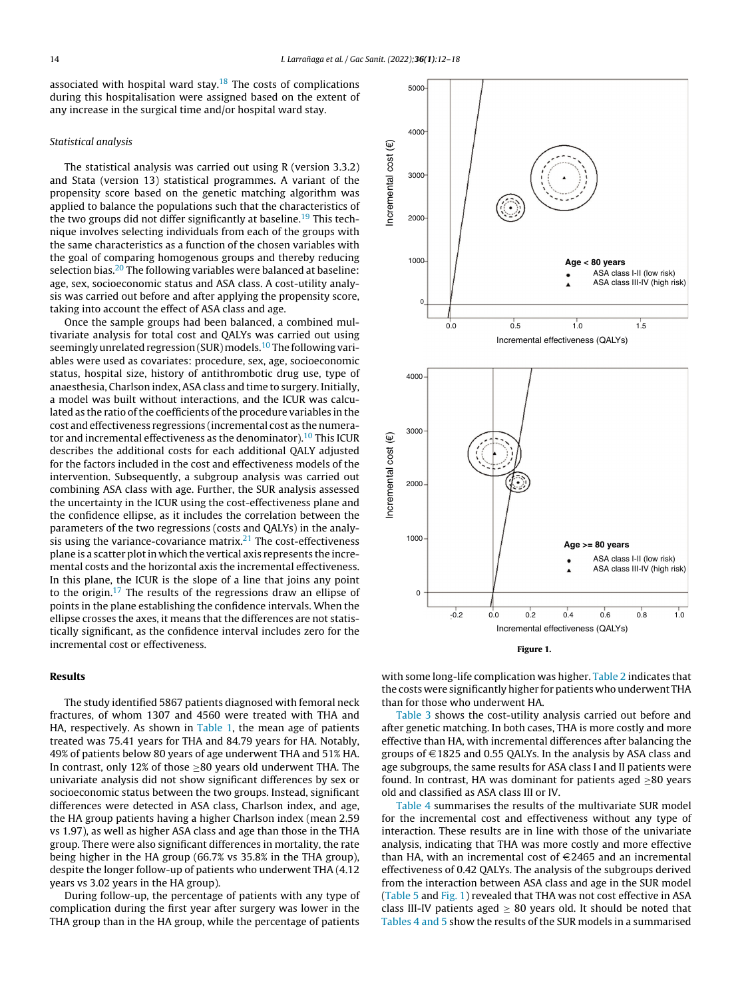associated with hospital ward stay.<sup>[18](#page-6-0)</sup> The costs of complications during this hospitalisation were assigned based on the extent of any increase in the surgical time and/or hospital ward stay.

## Statistical analysis

The statistical analysis was carried out using R (version 3.3.2) and Stata (version 13) statistical programmes. A variant of the propensity score based on the genetic matching algorithm was applied to balance the populations such that the characteristics of the two groups did not differ significantly at baseline.<sup>[19](#page-6-0)</sup> This technique involves selecting individuals from each of the groups with the same characteristics as a function of the chosen variables with the goal of comparing homogenous groups and thereby reducing selection bias.<sup>[20](#page-6-0)</sup> The following variables were balanced at baseline: age, sex, socioeconomic status and ASA class. A cost-utility analysis was carried out before and after applying the propensity score, taking into account the effect of ASA class and age.

Once the sample groups had been balanced, a combined multivariate analysis for total cost and QALYs was carried out using seemingly unrelated regression (SUR) models.<sup>[10](#page-6-0)</sup> The following variables were used as covariates: procedure, sex, age, socioeconomic status, hospital size, history of antithrombotic drug use, type of anaesthesia, Charlson index, ASA class and time to surgery. Initially, a model was built without interactions, and the ICUR was calculated as the ratio of the coefficients of the procedure variables in the cost and effectiveness regressions (incremental cost as the numera-tor and incremental effectiveness as the denominator).<sup>[10](#page-6-0)</sup> This ICUR describes the additional costs for each additional QALY adjusted for the factors included in the cost and effectiveness models of the intervention. Subsequently, a subgroup analysis was carried out combining ASA class with age. Further, the SUR analysis assessed the uncertainty in the ICUR using the cost-effectiveness plane and the confidence ellipse, as it includes the correlation between the parameters of the two regressions (costs and QALYs) in the analysis using the variance-covariance matrix. $2<sup>1</sup>$  The cost-effectiveness plane is a scatter plot in which the vertical axis represents the incremental costs and the horizontal axis the incremental effectiveness. In this plane, the ICUR is the slope of a line that joins any point to the origin.[17](#page-6-0) The results of the regressions draw an ellipse of points in the plane establishing the confidence intervals. When the ellipse crosses the axes, it means that the differences are not statistically significant, as the confidence interval includes zero for the incremental cost or effectiveness.

## Results

The study identified 5867 patients diagnosed with femoral neck fractures, of whom 1307 and 4560 were treated with THA and HA, respectively. As shown in [Table](#page-3-0) 1, the mean age of patients treated was 75.41 years for THA and 84.79 years for HA. Notably, 49% of patients below 80 years of age underwent THA and 51% HA. In contrast, only 12% of those ≥80 years old underwent THA. The univariate analysis did not show significant differences by sex or socioeconomic status between the two groups. Instead, significant differences were detected in ASA class, Charlson index, and age, the HA group patients having a higher Charlson index (mean 2.59 vs 1.97), as well as higher ASA class and age than those in the THA group. There were also significant differences in mortality, the rate being higher in the HA group (66.7% vs 35.8% in the THA group), despite the longer follow-up of patients who underwent THA (4.12 years vs 3.02 years in the HA group).

During follow-up, the percentage of patients with any type of complication during the first year after surgery was lower in the THA group than in the HA group, while the percentage of patients



Figure 1.

with some long-life complication was higher. [Table](#page-3-0) 2 indicates that the costs were significantly higher for patients who underwent THA than for those who underwent HA.

[Table](#page-4-0) 3 shows the cost-utility analysis carried out before and after genetic matching. In both cases, THA is more costly and more effective than HA, with incremental differences after balancing the groups of  $\in$  1825 and 0.55 QALYs. In the analysis by ASA class and age subgroups, the same results for ASA class I and II patients were found. In contrast, HA was dominant for patients aged  $\geq 80$  years old and classified as ASA class III or IV.

[Table](#page-4-0) 4 summarises the results of the multivariate SUR model for the incremental cost and effectiveness without any type of interaction. These results are in line with those of the univariate analysis, indicating that THA was more costly and more effective than HA, with an incremental cost of  $E$ 2465 and an incremental effectiveness of 0.42 QALYs. The analysis of the subgroups derived from the interaction between ASA class and age in the SUR model [\(Table](#page-4-0) 5 and Fig. 1) revealed that THA was not cost effective in ASA class III-IV patients aged  $\geq$  80 years old. It should be noted that [Tables](#page-4-0) 4 and 5 show the results of the SUR models in a summarised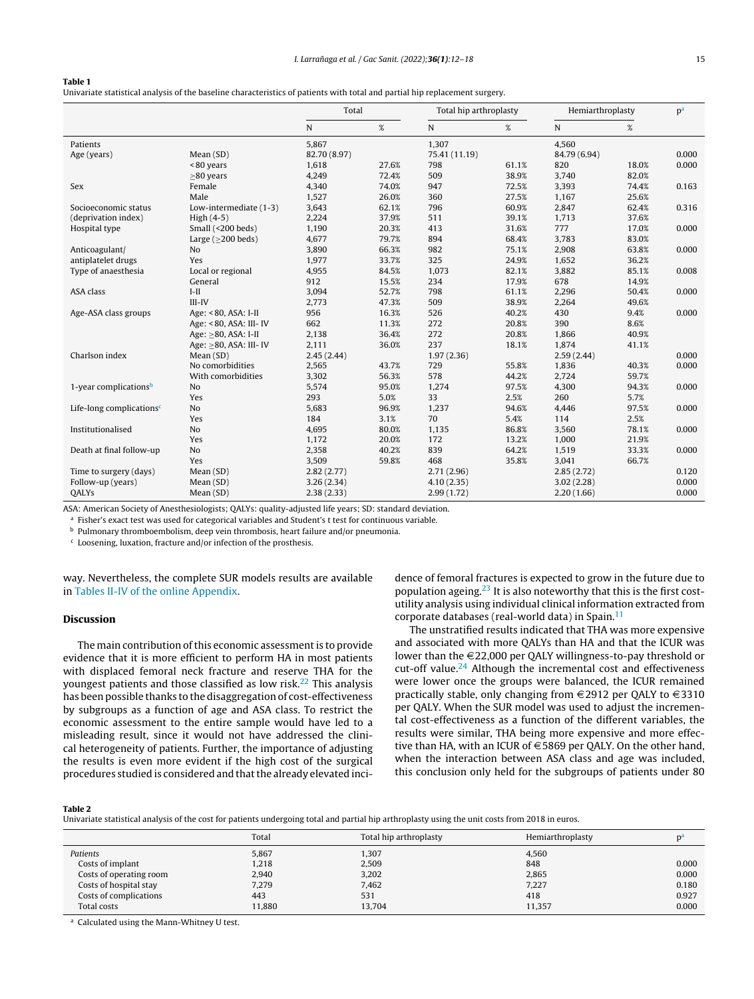#### <span id="page-3-0"></span>Table 1

Univariate statistical analysis of the baseline characteristics of patients with total and partial hip replacement surgery.

|                                      |                          | Total        |       | Total hip arthroplasty |       | Hemiarthroplasty |       | p <sup>a</sup> |
|--------------------------------------|--------------------------|--------------|-------|------------------------|-------|------------------|-------|----------------|
|                                      |                          | ${\bf N}$    | $\%$  | N                      | $\%$  | $\mathbf N$      | $\%$  |                |
| Patients                             |                          | 5,867        |       | 1,307                  |       | 4,560            |       |                |
| Age (years)                          | Mean(SD)                 | 82.70 (8.97) |       | 75.41 (11.19)          |       | 84.79 (6.94)     |       | 0.000          |
|                                      | <80 years                | 1,618        | 27.6% | 798                    | 61.1% | 820              | 18.0% | 0.000          |
|                                      | $\geq$ 80 years          | 4,249        | 72.4% | 509                    | 38.9% | 3,740            | 82.0% |                |
| <b>Sex</b>                           | Female                   | 4,340        | 74.0% | 947                    | 72.5% | 3,393            | 74.4% | 0.163          |
|                                      | Male                     | 1,527        | 26.0% | 360                    | 27.5% | 1,167            | 25.6% |                |
| Socioeconomic status                 | Low-intermediate (1-3)   | 3,643        | 62.1% | 796                    | 60.9% | 2,847            | 62.4% | 0.316          |
| (deprivation index)                  | High $(4-5)$             | 2,224        | 37.9% | 511                    | 39.1% | 1,713            | 37.6% |                |
| Hospital type                        | Small (<200 beds)        | 1,190        | 20.3% | 413                    | 31.6% | 777              | 17.0% | 0.000          |
|                                      | Large ( $\geq$ 200 beds) | 4,677        | 79.7% | 894                    | 68.4% | 3,783            | 83.0% |                |
| Anticoagulant/                       | N <sub>o</sub>           | 3,890        | 66.3% | 982                    | 75.1% | 2,908            | 63.8% | 0.000          |
| antiplatelet drugs                   | Yes                      | 1,977        | 33.7% | 325                    | 24.9% | 1,652            | 36.2% |                |
| Type of anaesthesia                  | Local or regional        | 4,955        | 84.5% | 1,073                  | 82.1% | 3,882            | 85.1% | 0.008          |
|                                      | General                  | 912          | 15.5% | 234                    | 17.9% | 678              | 14.9% |                |
| ASA class                            | $I-II$                   | 3.094        | 52.7% | 798                    | 61.1% | 2,296            | 50.4% | 0.000          |
|                                      | $III$ - $IV$             | 2,773        | 47.3% | 509                    | 38.9% | 2,264            | 49.6% |                |
| Age-ASA class groups                 | Age: < 80, ASA: I-II     | 956          | 16.3% | 526                    | 40.2% | 430              | 9.4%  | 0.000          |
|                                      | Age: < 80, ASA: III- IV  | 662          | 11.3% | 272                    | 20.8% | 390              | 8.6%  |                |
|                                      | Age: >80, ASA: I-II      | 2,138        | 36.4% | 272                    | 20.8% | 1,866            | 40.9% |                |
|                                      | Age: >80, ASA: III- IV   | 2,111        | 36.0% | 237                    | 18.1% | 1,874            | 41.1% |                |
| Charlson index                       | Mean (SD)                | 2.45(2.44)   |       | 1.97(2.36)             |       | 2.59(2.44)       |       | 0.000          |
|                                      | No comorbidities         | 2,565        | 43.7% | 729                    | 55.8% | 1,836            | 40.3% | 0.000          |
|                                      | With comorbidities       | 3,302        | 56.3% | 578                    | 44.2% | 2,724            | 59.7% |                |
| 1-year complications <sup>b</sup>    | N <sub>o</sub>           | 5,574        | 95.0% | 1,274                  | 97.5% | 4,300            | 94.3% | 0.000          |
|                                      | Yes                      | 293          | 5.0%  | 33                     | 2.5%  | 260              | 5.7%  |                |
| Life-long complications <sup>c</sup> | N <sub>o</sub>           | 5,683        | 96.9% | 1,237                  | 94.6% | 4,446            | 97.5% | 0.000          |
|                                      | Yes                      | 184          | 3.1%  | 70                     | 5.4%  | 114              | 2.5%  |                |
| Institutionalised                    | N <sub>o</sub>           | 4,695        | 80.0% | 1,135                  | 86.8% | 3,560            | 78.1% | 0.000          |
|                                      | Yes                      | 1,172        | 20.0% | 172                    | 13.2% | 1,000            | 21.9% |                |
| Death at final follow-up             | No                       | 2,358        | 40.2% | 839                    | 64.2% | 1,519            | 33.3% | 0.000          |
|                                      | Yes                      | 3,509        | 59.8% | 468                    | 35.8% | 3,041            | 66.7% |                |
| Time to surgery (days)               | Mean (SD)                | 2.82(2.77)   |       | 2.71(2.96)             |       | 2.85(2.72)       |       | 0.120          |
| Follow-up (years)                    | Mean(SD)                 | 3.26(2.34)   |       | 4.10(2.35)             |       | 3.02(2.28)       |       | 0.000          |
| <b>OALYs</b>                         | Mean(SD)                 | 2.38(2.33)   |       | 2.99(1.72)             |       | 2.20(1.66)       |       | 0.000          |

ASA: American Society of Anesthesiologists; QALYs: quality-adjusted life years; SD: standard deviation.

<sup>a</sup> Fisher's exact test was used for categorical variables and Student's t test for continuous variable.

 $<sup>b</sup>$  Pulmonary thromboembolism, deep vein thrombosis, heart failure and/or pneumonia.</sup>

<sup>c</sup> Loosening, luxation, fracture and/or infection of the prosthesis.

way. Nevertheless, the complete SUR models results are available in Tables II-IV of the online [Appendix.](#page-6-0)

## Discussion

The main contribution of this economic assessment is to provide evidence that it is more efficient to perform HA in most patients with displaced femoral neck fracture and reserve THA for the youngest patients and those classified as low risk.[22](#page-6-0) This analysis has been possible thanks to the disaggregation of cost-effectiveness by subgroups as a function of age and ASA class. To restrict the economic assessment to the entire sample would have led to a misleading result, since it would not have addressed the clinical heterogeneity of patients. Further, the importance of adjusting the results is even more evident if the high cost of the surgical procedures studied is considered and that the already elevated incidence of femoral fractures is expected to grow in the future due to population ageing. $23$  It is also noteworthy that this is the first costutility analysis using individual clinical information extracted from corporate databases (real-world data) in Spain. $11$ 

The unstratified results indicated that THA was more expensive and associated with more QALYs than HA and that the ICUR was lower than the  $\in$  22,000 per QALY willingness-to-pay threshold or cut-off value.<sup>[24](#page-6-0)</sup> Although the incremental cost and effectiveness were lower once the groups were balanced, the ICUR remained practically stable, only changing from  $\in$  2912 per QALY to  $\in$  3310 per QALY. When the SUR model was used to adjust the incremental cost-effectiveness as a function of the different variables, the results were similar, THA being more expensive and more effective than HA, with an ICUR of  $\in$  5869 per QALY. On the other hand, when the interaction between ASA class and age was included, this conclusion only held for the subgroups of patients under 80

#### Table 2

Univariate statistical analysis of the cost for patients undergoing total and partial hip arthroplasty using the unit costs from 2018 in euros.

|                         | Total  | Total hip arthroplasty | Hemiarthroplasty |       |
|-------------------------|--------|------------------------|------------------|-------|
| Patients                | 5,867  | 1,307                  | 4,560            |       |
| Costs of implant        | 1,218  | 2,509                  | 848              | 0.000 |
| Costs of operating room | 2,940  | 3,202                  | 2,865            | 0.000 |
| Costs of hospital stay  | 7,279  | 7,462                  | 7,227            | 0.180 |
| Costs of complications  | 443    | 531                    | 418              | 0.927 |
| Total costs             | 11.880 | 13.704                 | 11,357           | 0.000 |

<sup>a</sup> Calculated using the Mann-Whitney U test.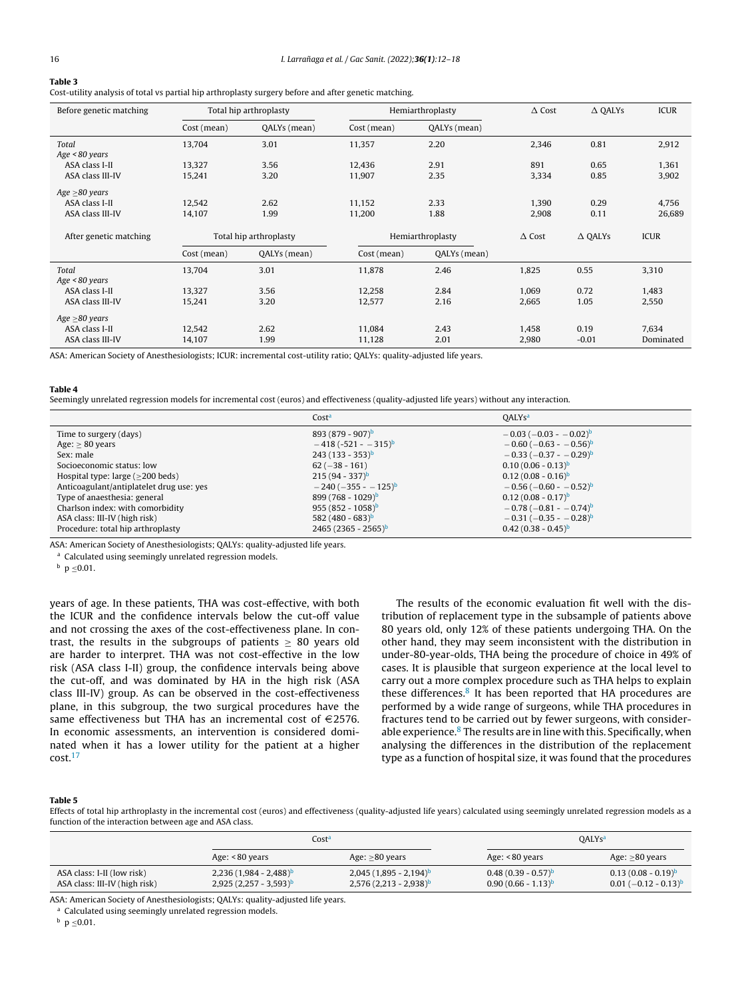## <span id="page-4-0"></span>Table 3

Cost-utility analysis of total vs partial hip arthroplasty surgery before and after genetic matching.

| Before genetic matching |                        | Total hip arthroplasty |             | Hemiarthroplasty |       | $\Delta$ Cost<br><b>ICUR</b><br>$\triangle$ OALYs |             |
|-------------------------|------------------------|------------------------|-------------|------------------|-------|---------------------------------------------------|-------------|
|                         | Cost (mean)            | QALYs (mean)           | Cost (mean) | QALYs (mean)     |       |                                                   |             |
| Total                   | 13,704                 | 3.01                   | 11,357      | 2.20             | 2,346 | 0.81                                              | 2,912       |
| Age < 80 years          |                        |                        |             |                  |       |                                                   |             |
| ASA class I-II          | 13,327                 | 3.56                   | 12,436      | 2.91             | 891   | 0.65                                              | 1,361       |
| ASA class III-IV        | 15,241                 | 3.20                   | 11,907      | 2.35             | 3,334 | 0.85                                              | 3,902       |
| Age $\geq$ 80 years     |                        |                        |             |                  |       |                                                   |             |
| ASA class I-II          | 12,542                 | 2.62                   | 11,152      | 2.33             | 1,390 | 0.29                                              | 4,756       |
| ASA class III-IV        | 14,107                 | 1.99                   | 11,200      | 1.88             | 2,908 | 0.11                                              | 26,689      |
| After genetic matching  | Total hip arthroplasty |                        |             | Hemiarthroplasty |       | $\triangle$ QALYs                                 | <b>ICUR</b> |
|                         | Cost (mean)            | QALYs (mean)           | Cost (mean) | QALYs (mean)     |       |                                                   |             |
| Total                   | 13,704                 | 3.01                   | 11,878      | 2.46             | 1,825 | 0.55                                              | 3,310       |
| Age < 80 years          |                        |                        |             |                  |       |                                                   |             |
| ASA class I-II          | 13,327                 | 3.56                   | 12,258      | 2.84             | 1,069 | 0.72                                              | 1,483       |
| ASA class III-IV        | 15,241                 | 3.20                   | 12,577      | 2.16             | 2,665 | 1.05                                              | 2,550       |
| Age $\geq$ 80 years     |                        |                        |             |                  |       |                                                   |             |
| ASA class I-II          | 12,542                 | 2.62                   | 11,084      | 2.43             | 1,458 | 0.19                                              | 7,634       |
| ASA class III-IV        | 14,107                 | 1.99                   | 11,128      | 2.01             | 2,980 | $-0.01$                                           | Dominated   |

ASA: American Society of Anesthesiologists; ICUR: incremental cost-utility ratio; QALYs: quality-adjusted life years.

#### Table 4

Seemingly unrelated regression models for incremental cost (euros) and effectiveness (quality-adjusted life years) without any interaction.

|                                          | Cost <sup>a</sup>            | <b>OALYs<sup>a</sup></b>                   |
|------------------------------------------|------------------------------|--------------------------------------------|
| Time to surgery (days)                   | $893(879 - 907)^b$           | $-0.03$ ( $-0.03$ - $-0.02$ ) <sup>b</sup> |
| Age: $\geq 80$ years                     | $-418(-521 - -315)^{b}$      | $-0.60$ ( $-0.63 - 0.56$ ) <sup>b</sup>    |
| Sex: male                                | $243 (133 - 353)^b$          | $-0.33$ ( $-0.37 - 0.29$ ) <sup>b</sup>    |
| Socioeconomic status: low                | $62 (-38 - 161)$             | $0.10(0.06 - 0.13)^{b}$                    |
| Hospital type: $large (>200$ beds)       | $215(94 - 337)^b$            | $0.12(0.08 - 0.16)^b$                      |
| Anticoagulant/antiplatelet drug use: yes | $-240(-355 - 125)^{b}$       | $-0.56$ ( $-0.60 - 0.52$ ) <sup>b</sup>    |
| Type of anaesthesia: general             | $899(768 - 1029)^b$          | $0.12(0.08 - 0.17)^{b}$                    |
| Charlson index: with comorbidity         | $955(852 - 1058)^b$          | $-0.78$ ( $-0.81$ - $-0.74$ ) <sup>b</sup> |
| ASA class: III-IV (high risk)            | 582 (480 - 683) <sup>b</sup> | $-0.31$ (-0.35 - -0.28) <sup>b</sup>       |
| Procedure: total hip arthroplasty        | $2465(2365 - 2565)^b$        | $0.42(0.38 - 0.45)^{b}$                    |

ASA: American Society of Anesthesiologists; QALYs: quality-adjusted life years.

<sup>a</sup> Calculated using seemingly unrelated regression models.

 $b$  p  $\leq$  0.01.

years of age. In these patients, THA was cost-effective, with both the ICUR and the confidence intervals below the cut-off value and not crossing the axes of the cost-effectiveness plane. In contrast, the results in the subgroups of patients  $\geq 80$  years old are harder to interpret. THA was not cost-effective in the low risk (ASA class I-II) group, the confidence intervals being above the cut-off, and was dominated by HA in the high risk (ASA class III-IV) group. As can be observed in the cost-effectiveness plane, in this subgroup, the two surgical procedures have the same effectiveness but THA has an incremental cost of  $\in$ 2576. In economic assessments, an intervention is considered dominated when it has a lower utility for the patient at a higher cost.[17](#page-6-0)

The results of the economic evaluation fit well with the distribution of replacement type in the subsample of patients above 80 years old, only 12% of these patients undergoing THA. On the other hand, they may seem inconsistent with the distribution in under-80-year-olds, THA being the procedure of choice in 49% of cases. It is plausible that surgeon experience at the local level to carry out a more complex procedure such as THA helps to explain these differences.<sup>[8](#page-6-0)</sup> It has been reported that HA procedures are performed by a wide range of surgeons, while THA procedures in fractures tend to be carried out by fewer surgeons, with consider-able experience.<sup>8</sup> [T](#page-6-0)he results are in line with this. Specifically, when analysing the differences in the distribution of the replacement type as a function of hospital size, it was found that the procedures

#### Table 5

Effects of total hip arthroplasty in the incremental cost (euros) and effectiveness (quality-adjusted life years) calculated using seemingly unrelated regression models as a function of the interaction between age and ASA class.

|                                                             |                                                        | Costª                                                |                                                | <b>QALYs<sup>a</sup></b>                                    |
|-------------------------------------------------------------|--------------------------------------------------------|------------------------------------------------------|------------------------------------------------|-------------------------------------------------------------|
|                                                             | Age: <80 years                                         | Age: $\geq 80$ years                                 | Age: <80 years                                 | Age: $\geq 80$ years                                        |
| ASA class: I-II (low risk)<br>ASA class: III-IV (high risk) | $2,236(1,984 - 2,488)^{b}$<br>$2,925(2,257 - 3,593)^b$ | $2,045(1,895 - 2,194)^b$<br>$2,576(2,213 - 2,938)^b$ | $0.48(0.39 - 0.57)^b$<br>$0.90(0.66 - 1.13)^b$ | $0.13(0.08 - 0.19)^b$<br>$0.01$ (-0.12 - 0.13) <sup>b</sup> |

ASA: American Society of Anesthesiologists; QALYs: quality-adjusted life years.

a Calculated using seemingly unrelated regression models.

 $b$  p  $\leq$  0.01.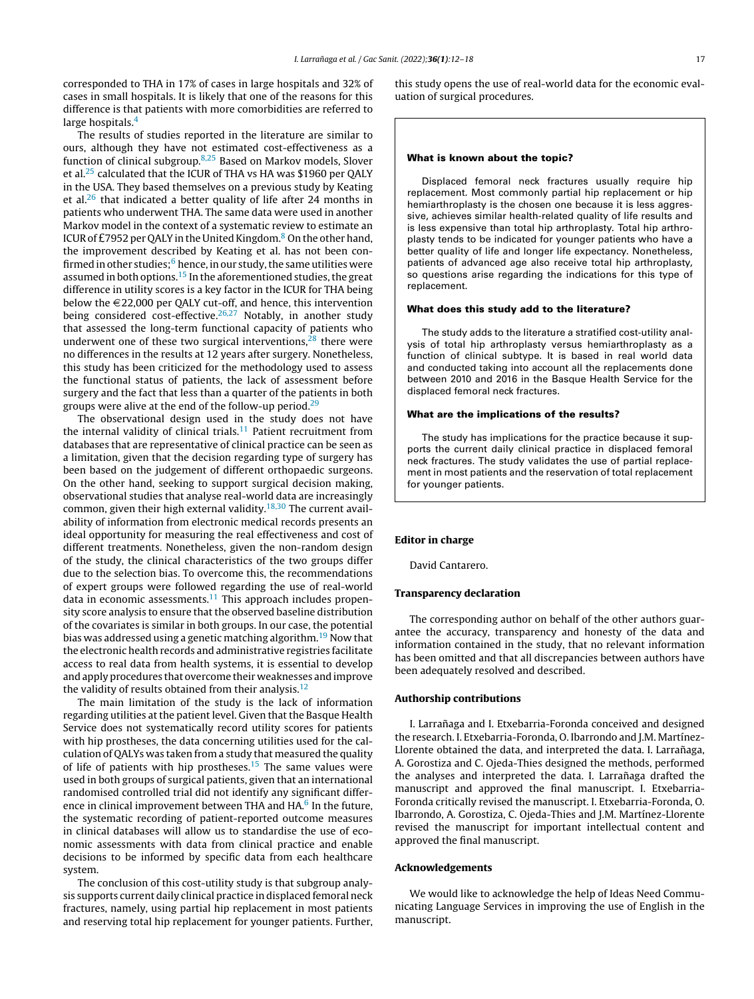corresponded to THA in 17% of cases in large hospitals and 32% of cases in small hospitals. It is likely that one of the reasons for this difference is that patients with more comorbidities are referred to large hospitals.<sup>[4](#page-6-0)</sup>

The results of studies reported in the literature are similar to ours, although they have not estimated cost-effectiveness as a function of clinical subgroup.[8,25](#page-6-0) Based on Markov models, Slover et al.[25](#page-6-0) calculated that the ICUR of THA vs HA was \$1960 per QALY in the USA. They based themselves on a previous study by Keating et al. $^{26}$  $^{26}$  $^{26}$  that indicated a better quality of life after 24 months in patients who underwent THA. The same data were used in another Markov model in the context of a systematic review to estimate an ICUR of £7952 per QALY in the United Kingdom. $8$  [O](#page-6-0)n the other hand, the improvement described by Keating et al. has not been confirmed in ot[h](#page-6-0)er studies; $6$  hence, in our study, the same utilities were assumed in both options.<sup>[15](#page-6-0)</sup> In the aforementioned studies, the great difference in utility scores is a key factor in the ICUR for THA being below the  $\in$  22,000 per QALY cut-off, and hence, this intervention being considered cost-effective.<sup>[26,27](#page-6-0)</sup> Notably, in another study that assessed the long-term functional capacity of patients who underwent one of these two surgical interventions, $28$  there were no differences in the results at 12 years after surgery. Nonetheless, this study has been criticized for the methodology used to assess the functional status of patients, the lack of assessment before surgery and the fact that less than a quarter of the patients in both groups were alive at the end of the follow-up period.<sup>[29](#page-6-0)</sup>

The observational design used in the study does not have the internal validity of clinical trials.<sup>[11](#page-6-0)</sup> Patient recruitment from databases that are representative of clinical practice can be seen as a limitation, given that the decision regarding type of surgery has been based on the judgement of different orthopaedic surgeons. On the other hand, seeking to support surgical decision making, observational studies that analyse real-world data are increasingly common, given their high external validity.<sup>[18,30](#page-6-0)</sup> The current availability of information from electronic medical records presents an ideal opportunity for measuring the real effectiveness and cost of different treatments. Nonetheless, given the non-random design of the study, the clinical characteristics of the two groups differ due to the selection bias. To overcome this, the recommendations of expert groups were followed regarding the use of real-world data in economic assessments. $11$  This approach includes propensity score analysis to ensure that the observed baseline distribution of the covariates is similar in both groups. In our case, the potential bias was addressed using a genetic matching algorithm.<sup>[19](#page-6-0)</sup> Now that the electronic health records and administrative registries facilitate access to real data from health systems, it is essential to develop and apply procedures that overcome their weaknesses and improve the validity of results obtained from their analysis.<sup>[12](#page-6-0)</sup>

The main limitation of the study is the lack of information regarding utilities at the patient level. Given that the Basque Health Service does not systematically record utility scores for patients with hip prostheses, the data concerning utilities used for the calculation of QALYs was taken from a study that measured the quality of life of patients with hip prostheses.<sup>[15](#page-6-0)</sup> The same values were used in both groups of surgical patients, given that an international randomised controlled trial did not identify any significant differ-ence in clinical improvement between THA and HA.<sup>6</sup> [In](#page-6-0) the future, the systematic recording of patient-reported outcome measures in clinical databases will allow us to standardise the use of economic assessments with data from clinical practice and enable decisions to be informed by specific data from each healthcare system.

The conclusion of this cost-utility study is that subgroup analysis supports current daily clinical practice in displaced femoral neck fractures, namely, using partial hip replacement in most patients and reserving total hip replacement for younger patients. Further, this study opens the use of real-world data for the economic evaluation of surgical procedures.

## What is known about the topic?

Displaced femoral neck fractures usually require hip replacement. Most commonly partial hip replacement or hip hemiarthroplasty is the chosen one because it is less aggressive, achieves similar health-related quality of life results and is less expensive than total hip arthroplasty. Total hip arthroplasty tends to be indicated for younger patients who have a better quality of life and longer life expectancy. Nonetheless, patients of advanced age also receive total hip arthroplasty, so questions arise regarding the indications for this type of replacement.

#### What does this study add to the literature?

The study adds to the literature a stratified cost-utility analysis of total hip arthroplasty versus hemiarthroplasty as a function of clinical subtype. It is based in real world data and conducted taking into account all the replacements done between 2010 and 2016 in the Basque Health Service for the displaced femoral neck fractures.

## What are the implications of the results?

The study has implications for the practice because it supports the current daily clinical practice in displaced femoral neck fractures. The study validates the use of partial replacement in most patients and the reservation of total replacement for younger patients.

#### Editor in charge

David Cantarero.

## Transparency declaration

The corresponding author on behalf of the other authors guarantee the accuracy, transparency and honesty of the data and information contained in the study, that no relevant information has been omitted and that all discrepancies between authors have been adequately resolved and described.

## Authorship contributions

I. Larrañaga and I. Etxebarria-Foronda conceived and designed the research. I. Etxebarria-Foronda, O. Ibarrondo and J.M. Martínez-Llorente obtained the data, and interpreted the data. I. Larrañaga, A. Gorostiza and C. Ojeda-Thies designed the methods, performed the analyses and interpreted the data. I. Larrañaga drafted the manuscript and approved the final manuscript. I. Etxebarria-Foronda critically revised the manuscript. I. Etxebarria-Foronda, O. Ibarrondo, A. Gorostiza, C. Ojeda-Thies and J.M. Martínez-Llorente revised the manuscript for important intellectual content and approved the final manuscript.

## Acknowledgements

We would like to acknowledge the help of Ideas Need Communicating Language Services in improving the use of English in the manuscript.